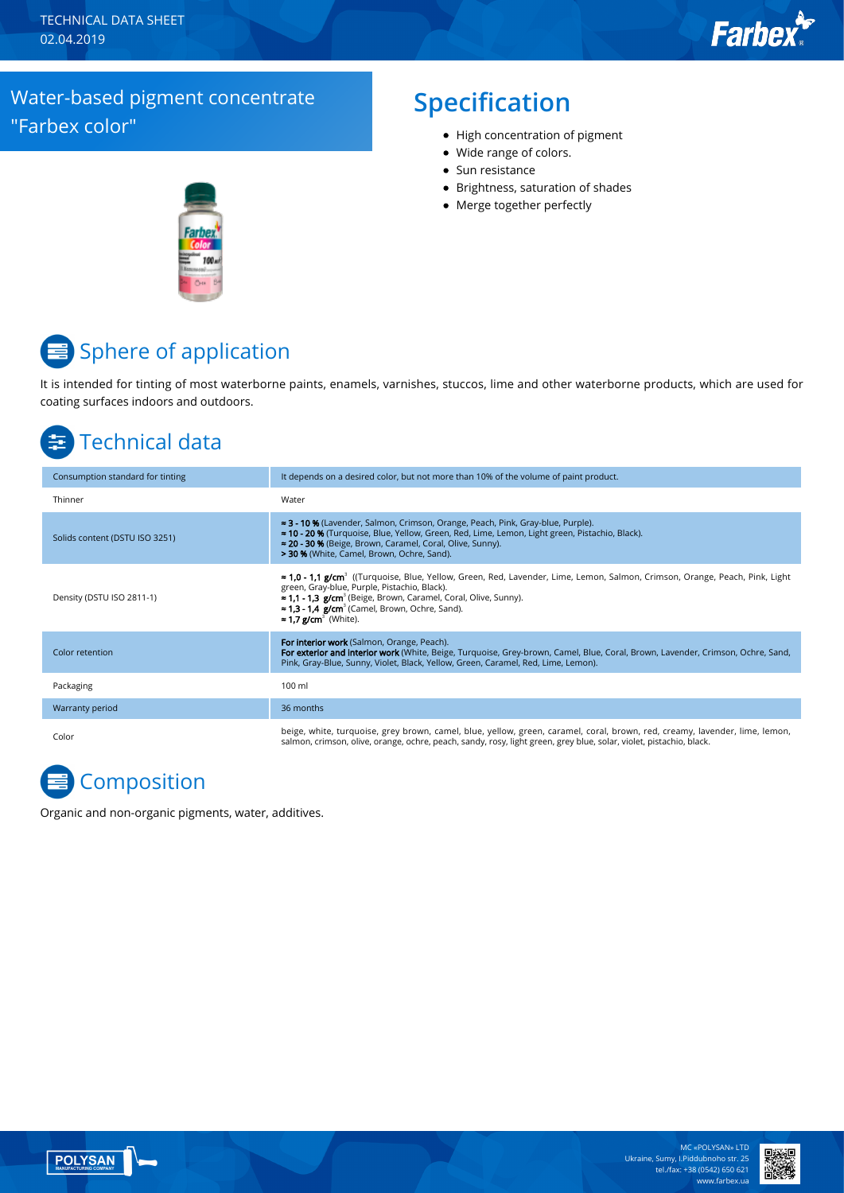#### Water-based pigment concentrate "Farbex color"

#### **Specification**

- High concentration of pigment
- Wide range of colors.
- $\bullet$  Sun resistance
- Brightness, saturation of shades
- Merge together perfectly



# **■** Sphere of application

It is intended for tinting of most waterborne paints, enamels, varnishes, stuccos, lime and other waterborne products, which are used for coating surfaces indoors and outdoors.

## Technical data

| Consumption standard for tinting | It depends on a desired color, but not more than 10% of the volume of paint product.                                                                                                                                                                                                                                                                                                            |
|----------------------------------|-------------------------------------------------------------------------------------------------------------------------------------------------------------------------------------------------------------------------------------------------------------------------------------------------------------------------------------------------------------------------------------------------|
| Thinner                          | Water                                                                                                                                                                                                                                                                                                                                                                                           |
| Solids content (DSTU ISO 3251)   | ≈ 3 - 10 % (Lavender, Salmon, Crimson, Orange, Peach, Pink, Gray-blue, Purple).<br>≈ 10 - 20 % (Turquoise, Blue, Yellow, Green, Red, Lime, Lemon, Light green, Pistachio, Black).<br>≈ 20 - 30 % (Beige, Brown, Caramel, Coral, Olive, Sunny).<br>> 30 % (White, Camel, Brown, Ochre, Sand).                                                                                                    |
| Density (DSTU ISO 2811-1)        | ≈ 1,0 - 1,1 g/cm <sup>3</sup> ((Turquoise, Blue, Yellow, Green, Red, Lavender, Lime, Lemon, Salmon, Crimson, Orange, Peach, Pink, Light<br>green, Gray-blue, Purple, Pistachio, Black).<br><b>≈ 1,1 - 1,3 g/cm</b> <sup>3</sup> (Beige, Brown, Caramel, Coral, Olive, Sunny).<br>$\approx$ 1.3 - 1.4 g/cm <sup>3</sup> (Camel, Brown, Ochre, Sand).<br>$\approx$ 1.7 g/cm <sup>3</sup> (White). |
| Color retention                  | For interior work (Salmon, Orange, Peach).<br>For exterior and interior work (White, Beige, Turquoise, Grey-brown, Camel, Blue, Coral, Brown, Lavender, Crimson, Ochre, Sand,<br>Pink, Gray-Blue, Sunny, Violet, Black, Yellow, Green, Caramel, Red, Lime, Lemon).                                                                                                                              |
| Packaging                        | 100 ml                                                                                                                                                                                                                                                                                                                                                                                          |
| Warranty period                  | 36 months                                                                                                                                                                                                                                                                                                                                                                                       |
| Color                            | beige, white, turquoise, grey brown, camel, blue, yellow, green, caramel, coral, brown, red, creamy, lavender, lime, lemon,<br>salmon, crimson, olive, orange, ochre, peach, sandy, rosy, light green, grey blue, solar, violet, pistachio, black.                                                                                                                                              |

## **Composition**

Organic and non-organic pigments, water, additives.